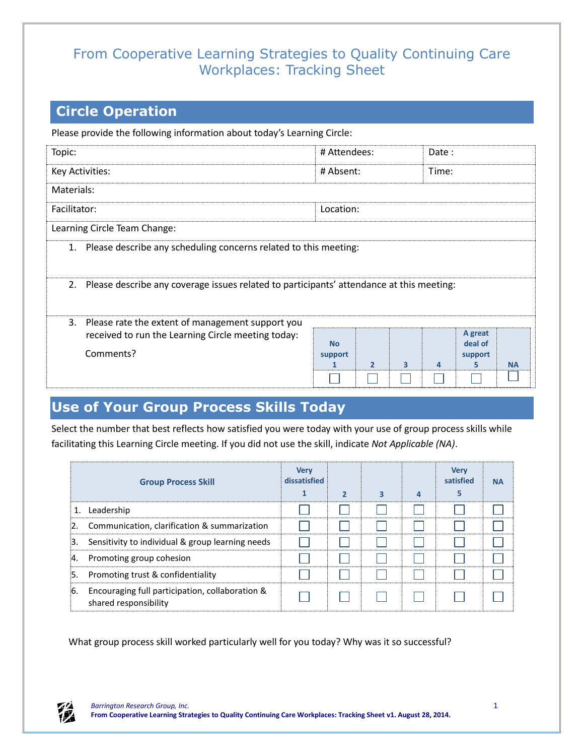## From Cooperative Learning Strategies to Quality Continuing Care Workplaces: Tracking Sheet

## **Circle Operation**

Please provide the following information about today's Learning Circle:

| Topic:                                                                                      | # Attendees:         |                |                         | Date:          |                               |           |  |  |  |
|---------------------------------------------------------------------------------------------|----------------------|----------------|-------------------------|----------------|-------------------------------|-----------|--|--|--|
| Key Activities:                                                                             | # Absent:            |                |                         | Time:          |                               |           |  |  |  |
| Materials:                                                                                  |                      |                |                         |                |                               |           |  |  |  |
| Facilitator:                                                                                | Location:            |                |                         |                |                               |           |  |  |  |
| Learning Circle Team Change:                                                                |                      |                |                         |                |                               |           |  |  |  |
| 1. Please describe any scheduling concerns related to this meeting:                         |                      |                |                         |                |                               |           |  |  |  |
| 2. Please describe any coverage issues related to participants' attendance at this meeting: |                      |                |                         |                |                               |           |  |  |  |
| Please rate the extent of management support you<br>3.                                      |                      |                |                         |                |                               |           |  |  |  |
| received to run the Learning Circle meeting today:<br>Comments?                             | <b>No</b><br>support |                |                         |                | A great<br>deal of<br>support |           |  |  |  |
|                                                                                             |                      | $\overline{2}$ | $\overline{\mathbf{3}}$ | $\overline{a}$ | 5                             | <b>NA</b> |  |  |  |
|                                                                                             |                      |                |                         |                |                               |           |  |  |  |

## **Use of Your Group Process Skills Today**

Select the number that best reflects how satisfied you were today with your use of group process skills while facilitating this Learning Circle meeting. If you did not use the skill, indicate *Not Applicable (NA)*.

|     | <b>Group Process Skill</b>                                               | <b>Very</b><br>dissatisfied | $\overline{\phantom{a}}$ | 3 | 4 | <b>Very</b><br>satisfied | <b>NA</b> |
|-----|--------------------------------------------------------------------------|-----------------------------|--------------------------|---|---|--------------------------|-----------|
|     | 1. Leadership                                                            |                             |                          |   |   |                          |           |
|     | Communication, clarification & summarization                             |                             |                          |   |   |                          |           |
| З.  | Sensitivity to individual & group learning needs                         |                             |                          |   |   |                          |           |
| Α.  | Promoting group cohesion                                                 |                             |                          |   |   |                          |           |
| :5. | Promoting trust & confidentiality                                        |                             |                          |   |   |                          |           |
| 6.  | Encouraging full participation, collaboration &<br>shared responsibility |                             |                          |   |   |                          |           |

What group process skill worked particularly well for you today? Why was it so successful?